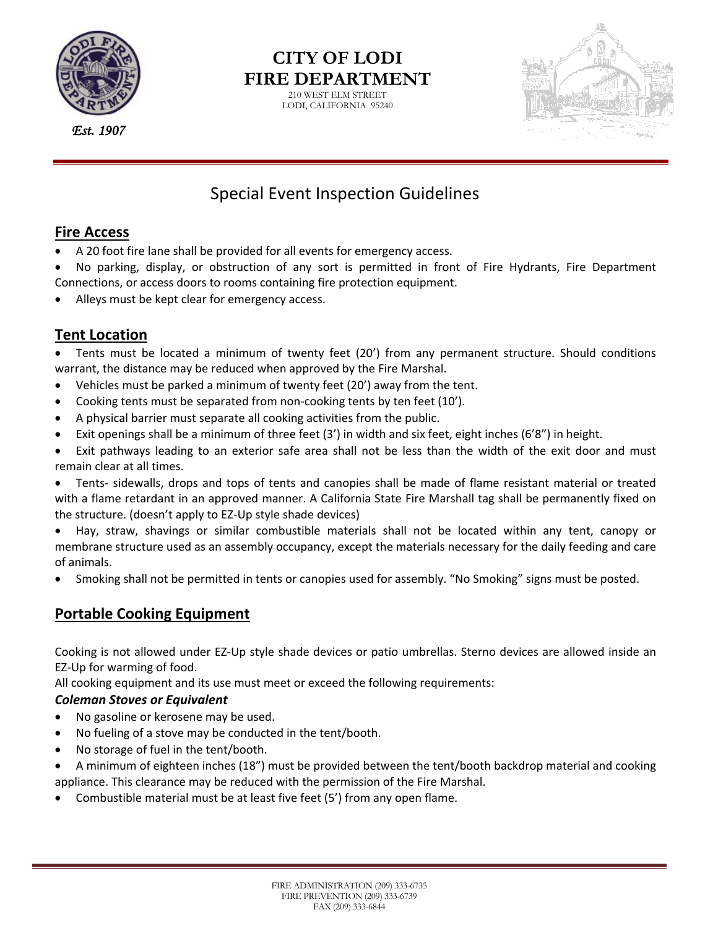

*Est. 1907*

# **CITY OF LODI FIRE DEPARTMENT**

210 WEST ELM STREET LODI, CALIFORNIA 95240



# Special Event Inspection Guidelines

#### **Fire Access**

- A 20 foot fire lane shall be provided for all events for emergency access.
- No parking, display, or obstruction of any sort is permitted in front of Fire Hydrants, Fire Department Connections, or access doors to rooms containing fire protection equipment.
- Alleys must be kept clear for emergency access.

# **Tent Location**

 Tents must be located a minimum of twenty feet (20') from any permanent structure. Should conditions warrant, the distance may be reduced when approved by the Fire Marshal.

- Vehicles must be parked a minimum of twenty feet (20') away from the tent.
- Cooking tents must be separated from non‐cooking tents by ten feet (10').
- A physical barrier must separate all cooking activities from the public.
- Exit openings shall be a minimum of three feet  $(3')$  in width and six feet, eight inches  $(6'8'')$  in height.
- Exit pathways leading to an exterior safe area shall not be less than the width of the exit door and must remain clear at all times.
- Tents‐ sidewalls, drops and tops of tents and canopies shall be made of flame resistant material or treated with a flame retardant in an approved manner. A California State Fire Marshall tag shall be permanently fixed on the structure. (doesn't apply to EZ‐Up style shade devices)
- Hay, straw, shavings or similar combustible materials shall not be located within any tent, canopy or membrane structure used as an assembly occupancy, except the materials necessary for the daily feeding and care of animals.
- Smoking shall not be permitted in tents or canopies used for assembly. "No Smoking" signs must be posted.

# **Portable Cooking Equipment**

Cooking is not allowed under EZ‐Up style shade devices or patio umbrellas. Sterno devices are allowed inside an EZ‐Up for warming of food.

All cooking equipment and its use must meet or exceed the following requirements:

#### *Coleman Stoves or Equivalent*

- No gasoline or kerosene may be used.
- No fueling of a stove may be conducted in the tent/booth.
- No storage of fuel in the tent/booth.
- A minimum of eighteen inches (18") must be provided between the tent/booth backdrop material and cooking appliance. This clearance may be reduced with the permission of the Fire Marshal.
- Combustible material must be at least five feet (5') from any open flame.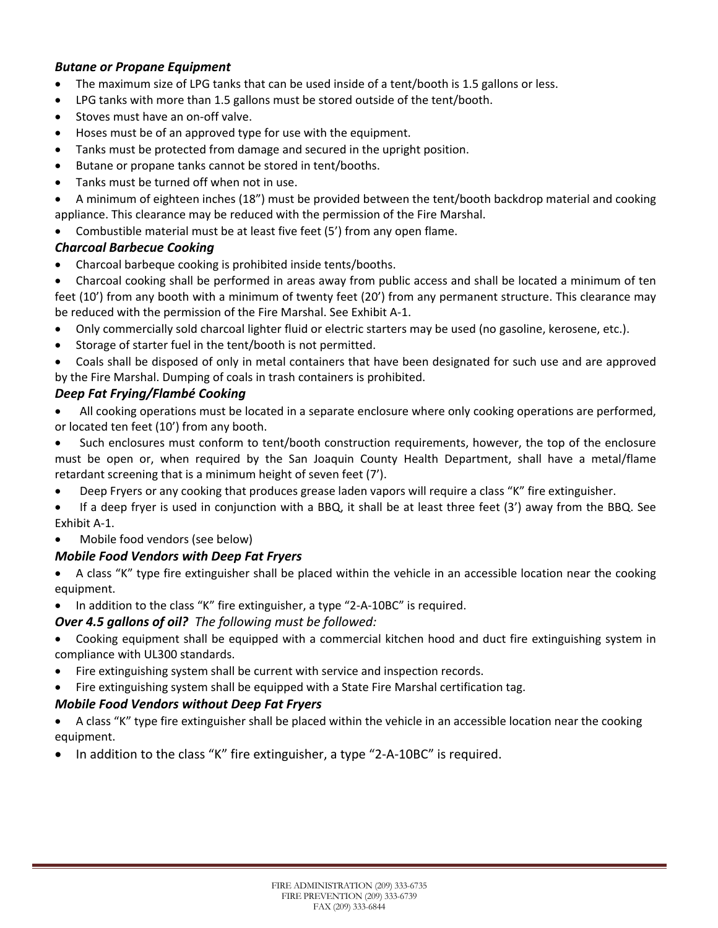#### *Butane or Propane Equipment*

- The maximum size of LPG tanks that can be used inside of a tent/booth is 1.5 gallons or less.
- LPG tanks with more than 1.5 gallons must be stored outside of the tent/booth.
- Stoves must have an on‐off valve.
- Hoses must be of an approved type for use with the equipment.
- Tanks must be protected from damage and secured in the upright position.
- Butane or propane tanks cannot be stored in tent/booths.
- Tanks must be turned off when not in use.
- A minimum of eighteen inches (18") must be provided between the tent/booth backdrop material and cooking appliance. This clearance may be reduced with the permission of the Fire Marshal.
- Combustible material must be at least five feet (5') from any open flame.

#### *Charcoal Barbecue Cooking*

- Charcoal barbeque cooking is prohibited inside tents/booths.
- Charcoal cooking shall be performed in areas away from public access and shall be located a minimum of ten feet (10') from any booth with a minimum of twenty feet (20') from any permanent structure. This clearance may be reduced with the permission of the Fire Marshal. See Exhibit A‐1.
- Only commercially sold charcoal lighter fluid or electric starters may be used (no gasoline, kerosene, etc.).
- Storage of starter fuel in the tent/booth is not permitted.
- Coals shall be disposed of only in metal containers that have been designated for such use and are approved by the Fire Marshal. Dumping of coals in trash containers is prohibited.

#### *Deep Fat Frying/Flambé Cooking*

- All cooking operations must be located in a separate enclosure where only cooking operations are performed, or located ten feet (10') from any booth.
- Such enclosures must conform to tent/booth construction requirements, however, the top of the enclosure must be open or, when required by the San Joaquin County Health Department, shall have a metal/flame retardant screening that is a minimum height of seven feet (7').
- Deep Fryers or any cooking that produces grease laden vapors will require a class "K" fire extinguisher.
- If a deep fryer is used in conjunction with a BBQ, it shall be at least three feet (3') away from the BBQ. See Exhibit A‐1.

Mobile food vendors (see below)

#### *Mobile Food Vendors with Deep Fat Fryers*

- A class "K" type fire extinguisher shall be placed within the vehicle in an accessible location near the cooking equipment.
- In addition to the class "K" fire extinguisher, a type "2‐A‐10BC" is required.

#### *Over 4.5 gallons of oil? The following must be followed:*

- Cooking equipment shall be equipped with a commercial kitchen hood and duct fire extinguishing system in compliance with UL300 standards.
- Fire extinguishing system shall be current with service and inspection records.
- Fire extinguishing system shall be equipped with a State Fire Marshal certification tag.

#### *Mobile Food Vendors without Deep Fat Fryers*

- A class "K" type fire extinguisher shall be placed within the vehicle in an accessible location near the cooking equipment.
- In addition to the class "K" fire extinguisher, a type "2-A-10BC" is required.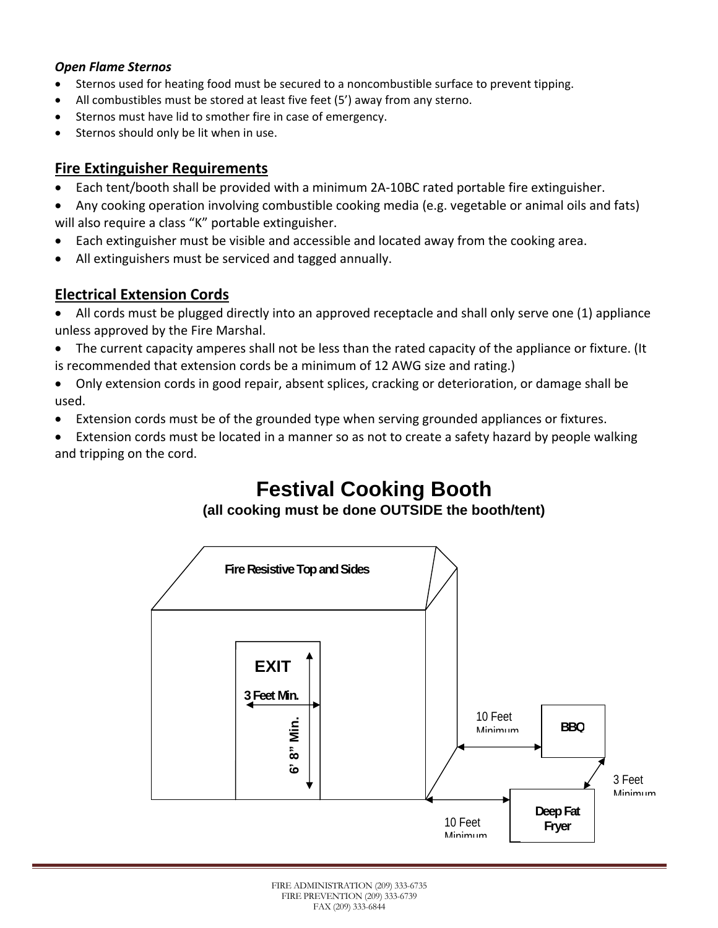#### *Open Flame Sternos*

- Sternos used for heating food must be secured to a noncombustible surface to prevent tipping.
- All combustibles must be stored at least five feet (5') away from any sterno.
- Sternos must have lid to smother fire in case of emergency.
- Sternos should only be lit when in use.

#### **Fire Extinguisher Requirements**

- Each tent/booth shall be provided with a minimum 2A‐10BC rated portable fire extinguisher.
- Any cooking operation involving combustible cooking media (e.g. vegetable or animal oils and fats) will also require a class "K" portable extinguisher.
- Each extinguisher must be visible and accessible and located away from the cooking area.
- All extinguishers must be serviced and tagged annually.

## **Electrical Extension Cords**

- All cords must be plugged directly into an approved receptacle and shall only serve one (1) appliance unless approved by the Fire Marshal.
- The current capacity amperes shall not be less than the rated capacity of the appliance or fixture. (It is recommended that extension cords be a minimum of 12 AWG size and rating.)
- Only extension cords in good repair, absent splices, cracking or deterioration, or damage shall be used.
- Extension cords must be of the grounded type when serving grounded appliances or fixtures.
- Extension cords must be located in a manner so as not to create a safety hazard by people walking and tripping on the cord.

# **Festival Cooking Booth**

## **(all cooking must be done OUTSIDE the booth/tent)**